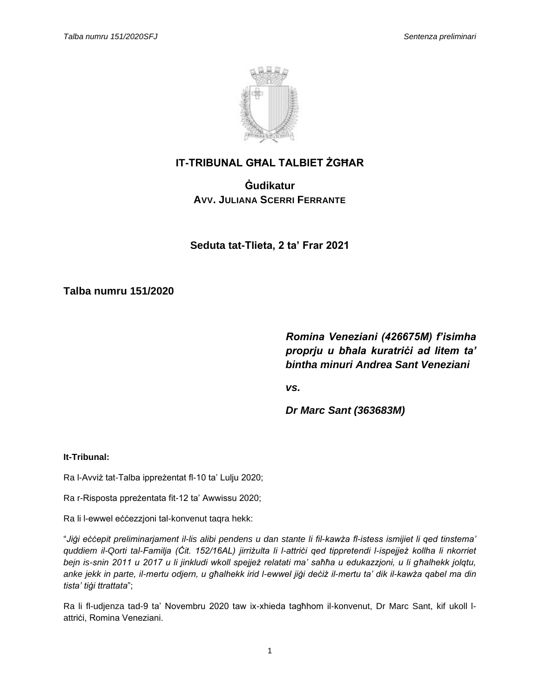

# **IT-TRIBUNAL GĦAL TALBIET ŻGĦAR**

**Ġudikatur AVV. JULIANA SCERRI FERRANTE**

**Seduta tat-Tlieta, 2 ta' Frar 2021**

**Talba numru 151/2020**

*Romina Veneziani (426675M) f'isimha proprju u bħala kuratriċi ad litem ta' bintha minuri Andrea Sant Veneziani*

*vs.*

*Dr Marc Sant (363683M)*

# **It-Tribunal:**

Ra l-Avviż tat-Talba ippreżentat fl-10 ta' Lulju 2020;

Ra r-Risposta ppreżentata fit-12 ta' Awwissu 2020;

Ra li l-ewwel eċċezzjoni tal-konvenut taqra hekk:

"*Jiġi eċċepit preliminarjament il-lis alibi pendens u dan stante li fil-kawża fl-istess ismijiet li qed tinstema' quddiem il-Qorti tal-Familja (Ċit. 152/16AL) jirriżulta li l-attriċi qed tippretendi l-ispejjeż kollha li nkorriet bejn is-snin 2011 u 2017 u li jinkludi wkoll spejjeż relatati ma' saħħa u edukazzjoni, u li għalhekk jolqtu, anke jekk in parte, il-mertu odjern, u għalhekk irid l-ewwel jiġi deċiż il-mertu ta' dik il-kawża qabel ma din tista' tiġi ttrattata*";

Ra li fl-udjenza tad-9 ta' Novembru 2020 taw ix-xhieda tagħhom il-konvenut, Dr Marc Sant, kif ukoll lattriċi, Romina Veneziani.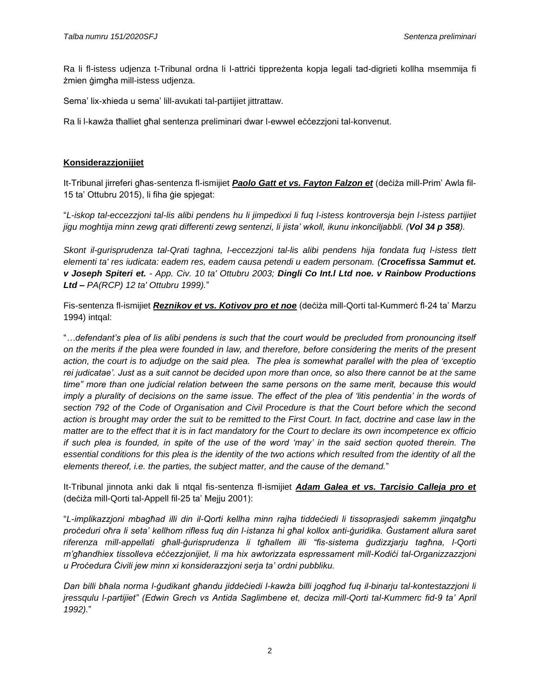Ra li fl-istess udjenza t-Tribunal ordna li l-attriċi tippreżenta kopja legali tad-digrieti kollha msemmija fi żmien ġimgħa mill-istess udjenza.

Sema' lix-xhieda u sema' lill-avukati tal-partijiet jittrattaw.

Ra li l-kawża tħalliet għal sentenza preliminari dwar l-ewwel eċċezzjoni tal-konvenut.

### **Konsiderazzjonijiet**

It-Tribunal jirreferi għas-sentenza fl-ismijiet *Paolo Gatt et vs. Fayton Falzon et* (deċiża mill-Prim' Awla fil-15 ta' Ottubru 2015), li fiha ġie spjegat:

"*L-iskop tal-eccezzjoni tal-lis alibi pendens hu li jimpedixxi li fuq l-istess kontroversja bejn l-istess partijiet jigu moghtija minn zewg qrati differenti zewg sentenzi, li jista' wkoll, ikunu inkonciljabbli. (Vol 34 p 358).* 

*Skont il-gurisprudenza tal-Qrati taghna, l-eccezzjoni tal-lis alibi pendens hija fondata fuq l-istess tlett elementi ta' res iudicata: eadem res, eadem causa petendi u eadem personam. (Crocefissa Sammut et. v Joseph Spiteri et. - App. Civ. 10 ta' Ottubru 2003; Dingli Co Int.l Ltd noe. v Rainbow Productions Ltd – PA(RCP) 12 ta' Ottubru 1999).*"

Fis-sentenza fl-ismijiet *Reznikov et vs. Kotivov pro et noe* (deċiża mill-Qorti tal-Kummerċ fl-24 ta' Marzu 1994) intqal:

"*…defendant's plea of lis alibi pendens is such that the court would be precluded from pronouncing itself on the merits if the plea were founded in law, and therefore, before considering the merits of the present action, the court is to adjudge on the said plea. The plea is somewhat parallel with the plea of 'exceptio rei judicatae'. Just as a suit cannot be decided upon more than once, so also there cannot be at the same time" more than one judicial relation between the same persons on the same merit, because this would imply a plurality of decisions on the same issue. The effect of the plea of 'litis pendentia' in the words of section 792 of the Code of Organisation and Civil Procedure is that the Court before which the second action is brought may order the suit to be remitted to the First Court. In fact, doctrine and case law in the matter are to the effect that it is in fact mandatory for the Court to declare its own incompetence ex officio if such plea is founded, in spite of the use of the word 'may' in the said section quoted therein. The essential conditions for this plea is the identity of the two actions which resulted from the identity of all the elements thereof, i.e. the parties, the subject matter, and the cause of the demand.*"

It-Tribunal jinnota anki dak li ntqal fis-sentenza fl-ismijiet *Adam Galea et vs. Tarcisio Calleja pro et* (deċiża mill-Qorti tal-Appell fil-25 ta' Mejju 2001):

"*L-implikazzjoni mbagħad illi din il-Qorti kellha minn rajha tiddeċiedi li tissoprasjedi sakemm jinqatgħu proċeduri oħra li seta' kellhom rifless fuq din l-istanza hi għal kollox anti-ġuridika. Ġustament allura saret riferenza mill-appellati għall-ġurisprudenza li tgħallem illi "fis-sistema ġudizzjarju tagħna, l-Qorti m'għandhiex tissolleva eċċezzjonijiet, li ma hix awtorizzata espressament mill-Kodiċi tal-Organizzazzjoni u Proċedura Ċivili jew minn xi konsiderazzjoni serja ta' ordni pubbliku.*

*Dan billi bħala norma l-ġudikant għandu jiddeċiedi l-kawża billi joqgħod fuq il-binarju tal-kontestazzjoni li jressqulu l-partijiet" (Edwin Grech vs Antida Saglimbene et, deciza mill-Qorti tal-Kummerc fid-9 ta' April 1992).*"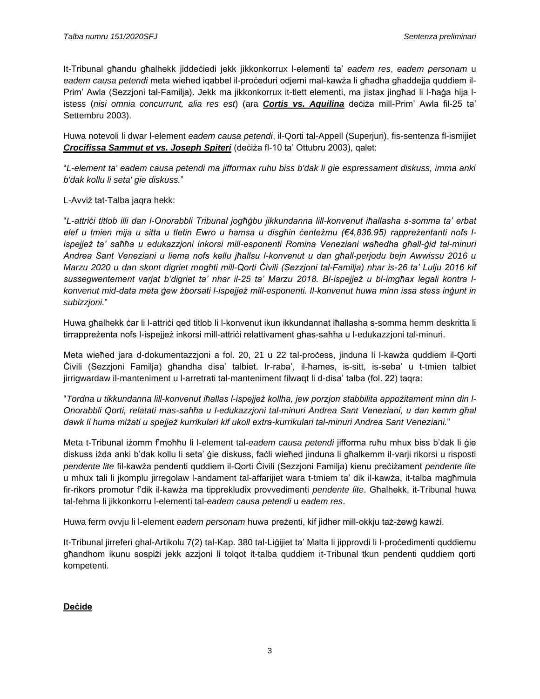It-Tribunal għandu għalhekk jiddeċiedi jekk jikkonkorrux l-elementi ta' *eadem res*, *eadem personam* u *eadem causa petendi* meta wieħed iqabbel il-proċeduri odjerni mal-kawża li għadha għaddejja quddiem il-Prim' Awla (Sezzjoni tal-Familja). Jekk ma jikkonkorrux it-tlett elementi, ma jistax jingħad li l-ħaġa hija listess (*nisi omnia concurrunt, alia res est*) (ara *Cortis vs. Aquilina* deċiża mill-Prim' Awla fil-25 ta' Settembru 2003).

Huwa notevoli li dwar l-element *eadem causa petendi*, il-Qorti tal-Appell (Superjuri), fis-sentenza fl-ismijiet *Crocifissa Sammut et vs. Joseph Spiteri* (deċiża fl-10 ta' Ottubru 2003), qalet:

"*L-element ta' eadem causa petendi ma jifformax ruhu biss b'dak li gie espressament diskuss, imma anki b'dak kollu li seta' gie diskuss.*"

# L-Avviż tat-Talba jaqra hekk:

"*L-attriċi titlob illi dan l-Onorabbli Tribunal jogħġbu jikkundanna lill-konvenut iħallasha s-somma ta' erbat elef u tmien mija u sitta u tletin Ewro u ħamsa u disgħin ċenteżmu (€4,836.95) rappreżentanti nofs lispejjeż ta' saħħa u edukazzjoni inkorsi mill-esponenti Romina Veneziani waħedha għall-ġid tal-minuri Andrea Sant Veneziani u liema nofs kellu jħallsu l-konvenut u dan għall-perjodu bejn Awwissu 2016 u Marzu 2020 u dan skont digriet mogħti mill-Qorti Ċivili (Sezzjoni tal-Familja) nhar is-26 ta' Lulju 2016 kif sussegwentement varjat b'digriet ta' nhar il-25 ta' Marzu 2018. Bl-ispejjeż u bl-imgħax legali kontra lkonvenut mid-data meta ġew żborsati l-ispejjeż mill-esponenti. Il-konvenut huwa minn issa stess inġunt in subizzjoni.*"

Huwa għalhekk ċar li l-attriċi qed titlob li l-konvenut ikun ikkundannat iħallasha s-somma hemm deskritta li tirrappreżenta nofs l-ispejjeż inkorsi mill-attriċi relattivament għas-saħħa u l-edukazzjoni tal-minuri.

Meta wieħed jara d-dokumentazzjoni a fol. 20, 21 u 22 tal-proċess, jinduna li l-kawża quddiem il-Qorti Ċivili (Sezzjoni Familja) għandha disa' talbiet. Ir-raba', il-ħames, is-sitt, is-seba' u t-tmien talbiet jirrigwardaw il-manteniment u l-arretrati tal-manteniment filwaqt li d-disa' talba (fol. 22) taqra:

"*Tordna u tikkundanna lill-konvenut iħallas l-ispejjeż kollha, jew porzjon stabbilita appożitament minn din l-Onorabbli Qorti, relatati mas-saħħa u l-edukazzjoni tal-minuri Andrea Sant Veneziani, u dan kemm għal dawk li huma miżati u spejjeż kurrikulari kif ukoll extra-kurrikulari tal-minuri Andrea Sant Veneziani.*"

Meta t-Tribunal iżomm f'moħħu li l-element tal-*eadem causa petendi* jifforma ruħu mhux biss b'dak li ġie diskuss iżda anki b'dak kollu li seta' ġie diskuss, faċli wieħed jinduna li għalkemm il-varji rikorsi u risposti *pendente lite* fil-kawża pendenti quddiem il-Qorti Ċivili (Sezzjoni Familja) kienu preċiżament *pendente lite* u mhux tali li jkomplu jirregolaw l-andament tal-affarijiet wara t-tmiem ta' dik il-kawża, it-talba magħmula fir-rikors promotur f'dik il-kawża ma tipprekludix provvedimenti *pendente lite*. Għalhekk, it-Tribunal huwa tal-fehma li jikkonkorru l-elementi tal-*eadem causa petendi* u *eadem res*.

Huwa ferm ovvju li l-element *eadem personam* huwa preżenti, kif jidher mill-okkju taż-żewġ kawżi.

It-Tribunal jirreferi ghal-Artikolu 7(2) tal-Kap. 380 tal-Liġijiet ta' Malta li jipprovdi li l-proċedimenti quddiemu għandhom ikunu sospiżi jekk azzjoni li tolqot it-talba quddiem it-Tribunal tkun pendenti quddiem qorti kompetenti.

# **Deċide**